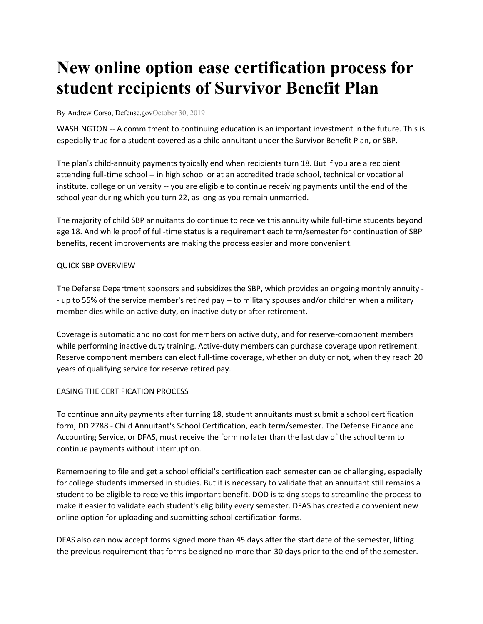# **New online option ease certification process for student recipients of Survivor Benefit Plan**

By Andrew Corso, Defense.govOctober 30, 2019

WASHINGTON -- A commitment to continuing education is an important investment in the future. This is especially true for a student covered as a child annuitant under the Survivor Benefit Plan, or SBP.

The plan's child-annuity payments typically end when recipients turn 18. But if you are a recipient attending full-time school -- in high school or at an accredited trade school, technical or vocational institute, college or university -- you are eligible to continue receiving payments until the end of the school year during which you turn 22, as long as you remain unmarried.

The majority of child SBP annuitants do continue to receive this annuity while full-time students beyond age 18. And while proof of full-time status is a requirement each term/semester for continuation of SBP benefits, recent improvements are making the process easier and more convenient.

## QUICK SBP OVERVIEW

The Defense Department sponsors and subsidizes the SBP, which provides an ongoing monthly annuity - - up to 55% of the service member's retired pay -- to military spouses and/or children when a military member dies while on active duty, on inactive duty or after retirement.

Coverage is automatic and no cost for members on active duty, and for reserve-component members while performing inactive duty training. Active-duty members can purchase coverage upon retirement. Reserve component members can elect full-time coverage, whether on duty or not, when they reach 20 years of qualifying service for reserve retired pay.

## EASING THE CERTIFICATION PROCESS

To continue annuity payments after turning 18, student annuitants must submit a school certification form, DD 2788 - Child Annuitant's School Certification, each term/semester. The Defense Finance and Accounting Service, or DFAS, must receive the form no later than the last day of the school term to continue payments without interruption.

Remembering to file and get a school official's certification each semester can be challenging, especially for college students immersed in studies. But it is necessary to validate that an annuitant still remains a student to be eligible to receive this important benefit. DOD is taking steps to streamline the process to make it easier to validate each student's eligibility every semester. DFAS has created a convenient new online option for uploading and submitting school certification forms.

DFAS also can now accept forms signed more than 45 days after the start date of the semester, lifting the previous requirement that forms be signed no more than 30 days prior to the end of the semester.